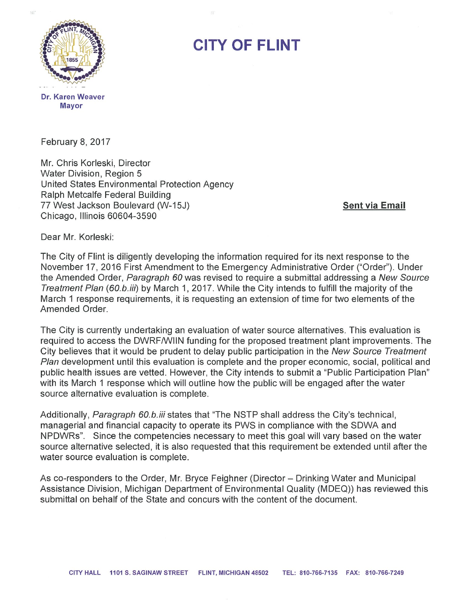

## CITY OF FLINT

February 8, 2017

Mr. Chris Korleski, Director Water Division, Region 5 United States Environmental Protection Agency Ralph Metcalfe Federal Building 77 West Jackson Boulevard (W-15J) Sent via Email Chicago, Illinois 60604-3590

Dear Mr. Korleski:

The City of Flint is diligently developing the information required for its next response to the November 17, 2016 First Amendment to the Emergency Administrative Order ("Order"). Under the Amended Order, Paragraph 60 was revised to require a submittal addressing a New Source Treatment Plan (60.b.iii) by March 1, 2017. While the City intends to fulfill the majority of the March 1 response requirements, it is requesting an extension of time for two elements of the Amended Order.

The City is currently undertaking an evaluation of water source alternatives. This evaluation is required to access the DWRF/WIIN funding for the proposed treatment plant improvements. The City believes that it would be prudent to delay public participation in the New Source Treatment Plan development until this evaluation is complete and the proper economic, social, political and public health issues are vetted. However, the City intends to submit <sup>a</sup> "Public Participation Plan" with its March 1 response which will outline how the public will be engaged after the water source alternative evaluation is complete.

Additionally, Paragraph 60.b.iii states that "The NSTP shall address the City's technical, managerial and financial capacity to operate its PWS in compliance with the SDWA and NPDWRs". Since the competencies necessary to meet this goal will vary based on the water source alternative selected, it is also requested that this requirement be extended until after the water source evaluation is complete.

As co-responders to the Order, Mr. Bryce Feighner (Director — Drinking Water and Municipal Assistance Division, Michigan Department of Environmental Quality (MDEQ)) has reviewed this submittal on behalf of the State and concurs with the content of the document.